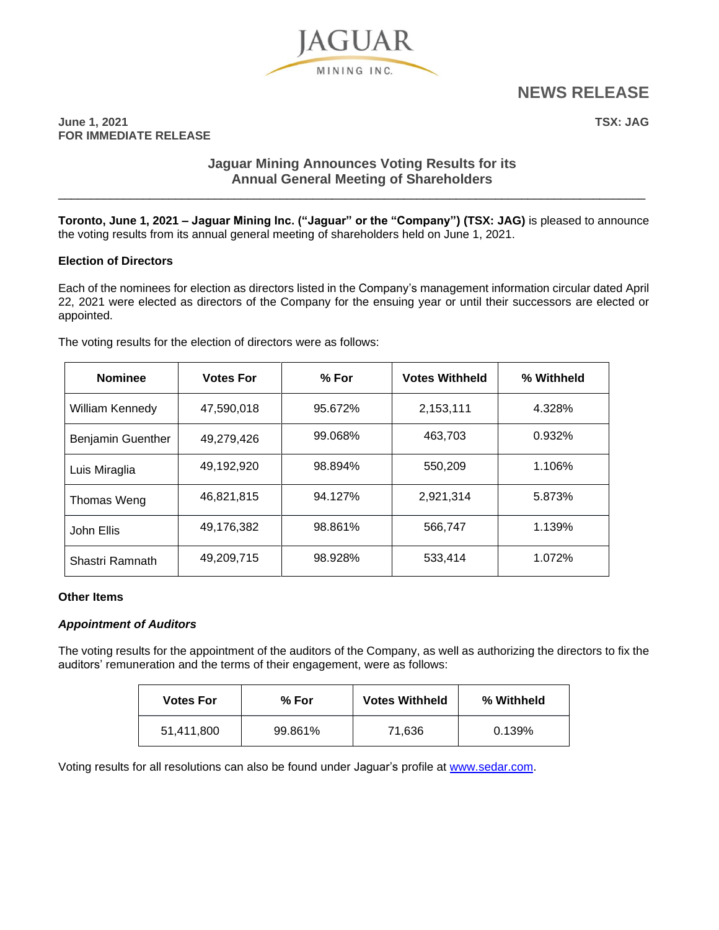

**NEWS RELEASE**

**June 1, 2021 TSX: JAG FOR IMMEDIATE RELEASE**

# **Jaguar Mining Announces Voting Results for its Annual General Meeting of Shareholders**

**Toronto, June 1, 2021 – Jaguar Mining Inc. ("Jaguar" or the "Company") (TSX: JAG)** is pleased to announce the voting results from its annual general meeting of shareholders held on June 1, 2021.

\_\_\_\_\_\_\_\_\_\_\_\_\_\_\_\_\_\_\_\_\_\_\_\_\_\_\_\_\_\_\_\_\_\_\_\_\_\_\_\_\_\_\_\_\_\_\_\_\_\_\_\_\_\_\_\_\_\_\_\_\_\_\_\_\_\_\_\_\_\_\_\_\_\_\_\_\_\_\_\_\_\_\_\_\_\_\_\_\_\_

## **Election of Directors**

Each of the nominees for election as directors listed in the Company's management information circular dated April 22, 2021 were elected as directors of the Company for the ensuing year or until their successors are elected or appointed.

| <b>Nominee</b>           | <b>Votes For</b> | $%$ For | <b>Votes Withheld</b> | % Withheld |
|--------------------------|------------------|---------|-----------------------|------------|
| <b>William Kennedy</b>   | 47,590,018       | 95.672% | 2,153,111             | 4.328%     |
| <b>Benjamin Guenther</b> | 49.279.426       | 99.068% | 463,703               | 0.932%     |
| Luis Miraglia            | 49,192,920       | 98.894% | 550,209               | 1.106%     |
| Thomas Weng              | 46,821,815       | 94.127% | 2,921,314             | 5.873%     |
| John Ellis               | 49,176,382       | 98.861% | 566.747               | 1.139%     |
| Shastri Ramnath          | 49,209,715       | 98.928% | 533,414               | 1.072%     |

The voting results for the election of directors were as follows:

### **Other Items**

### *Appointment of Auditors*

The voting results for the appointment of the auditors of the Company, as well as authorizing the directors to fix the auditors' remuneration and the terms of their engagement, were as follows:

| <b>Votes For</b> | % For   | <b>Votes Withheld</b> | % Withheld |
|------------------|---------|-----------------------|------------|
| 51,411,800       | 99.861% | 71.636                | 0.139%     |

Voting results for all resolutions can also be found under Jaguar's profile at www.sedar.com.